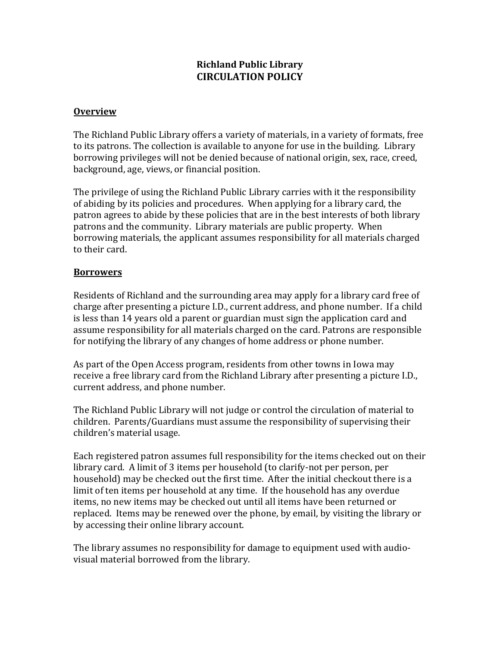# **Richland Public Library CIRCULATION POLICY**

## **Overview**

The Richland Public Library offers a variety of materials, in a variety of formats, free to its patrons. The collection is available to anyone for use in the building. Library borrowing privileges will not be denied because of national origin, sex, race, creed, background, age, views, or financial position.

The privilege of using the Richland Public Library carries with it the responsibility of abiding by its policies and procedures. When applying for a library card, the patron agrees to abide by these policies that are in the best interests of both library patrons and the community. Library materials are public property. When borrowing materials, the applicant assumes responsibility for all materials charged to their card.

# **Borrowers**

Residents of Richland and the surrounding area may apply for a library card free of charge after presenting a picture I.D., current address, and phone number. If a child is less than 14 years old a parent or guardian must sign the application card and assume responsibility for all materials charged on the card. Patrons are responsible for notifying the library of any changes of home address or phone number.

As part of the Open Access program, residents from other towns in Iowa may receive a free library card from the Richland Library after presenting a picture I.D., current address, and phone number.

The Richland Public Library will not judge or control the circulation of material to children. Parents/Guardians must assume the responsibility of supervising their children's material usage.

Each registered patron assumes full responsibility for the items checked out on their library card. A limit of 3 items per household (to clarify-not per person, per household) may be checked out the first time. After the initial checkout there is a limit of ten items per household at any time. If the household has any overdue items, no new items may be checked out until all items have been returned or replaced. Items may be renewed over the phone, by email, by visiting the library or by accessing their online library account.

The library assumes no responsibility for damage to equipment used with audiovisual material borrowed from the library.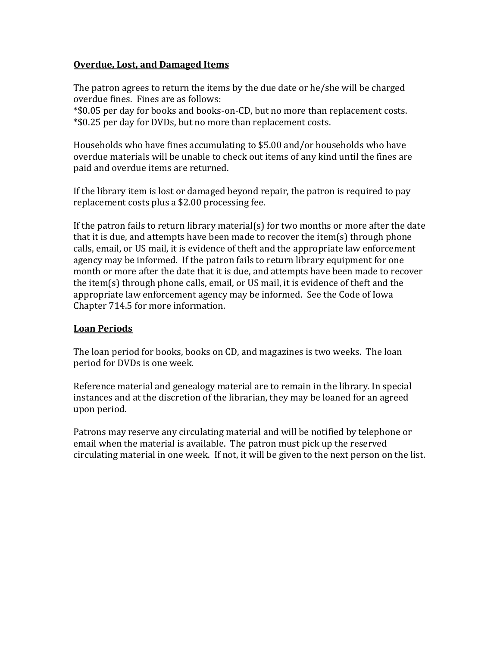## **Overdue, Lost, and Damaged Items**

The patron agrees to return the items by the due date or he/she will be charged overdue fines. Fines are as follows:

\*\$0.05 per day for books and books-on-CD, but no more than replacement costs. \*\$0.25 per day for DVDs, but no more than replacement costs.

Households who have fines accumulating to \$5.00 and/or households who have overdue materials will be unable to check out items of any kind until the fines are paid and overdue items are returned.

If the library item is lost or damaged beyond repair, the patron is required to pay replacement costs plus a \$2.00 processing fee.

If the patron fails to return library material(s) for two months or more after the date that it is due, and attempts have been made to recover the item(s) through phone calls, email, or US mail, it is evidence of theft and the appropriate law enforcement agency may be informed. If the patron fails to return library equipment for one month or more after the date that it is due, and attempts have been made to recover the item(s) through phone calls, email, or US mail, it is evidence of theft and the appropriate law enforcement agency may be informed. See the Code of Iowa Chapter 714.5 for more information.

## **Loan Periods**

The loan period for books, books on CD, and magazines is two weeks. The loan period for DVDs is one week.

Reference material and genealogy material are to remain in the library. In special instances and at the discretion of the librarian, they may be loaned for an agreed upon period.

Patrons may reserve any circulating material and will be notified by telephone or email when the material is available. The patron must pick up the reserved circulating material in one week. If not, it will be given to the next person on the list.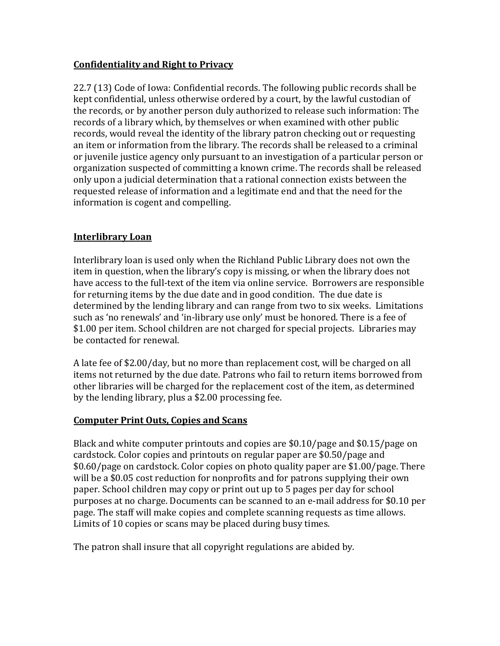# **Confidentiality and Right to Privacy**

22.7 (13) Code of Iowa: Confidential records. The following public records shall be kept confidential, unless otherwise ordered by a court, by the lawful custodian of the records, or by another person duly authorized to release such information: The records of a library which, by themselves or when examined with other public records, would reveal the identity of the library patron checking out or requesting an item or information from the library. The records shall be released to a criminal or juvenile justice agency only pursuant to an investigation of a particular person or organization suspected of committing a known crime. The records shall be released only upon a judicial determination that a rational connection exists between the requested release of information and a legitimate end and that the need for the information is cogent and compelling.

# **Interlibrary Loan**

Interlibrary loan is used only when the Richland Public Library does not own the item in question, when the library's copy is missing, or when the library does not have access to the full-text of the item via online service. Borrowers are responsible for returning items by the due date and in good condition. The due date is determined by the lending library and can range from two to six weeks. Limitations such as 'no renewals' and 'in-library use only' must be honored. There is a fee of \$1.00 per item. School children are not charged for special projects. Libraries may be contacted for renewal.

A late fee of \$2.00/day, but no more than replacement cost, will be charged on all items not returned by the due date. Patrons who fail to return items borrowed from other libraries will be charged for the replacement cost of the item, as determined by the lending library, plus a \$2.00 processing fee.

## **Computer Print Outs, Copies and Scans**

Black and white computer printouts and copies are \$0.10/page and \$0.15/page on cardstock. Color copies and printouts on regular paper are \$0.50/page and \$0.60/page on cardstock. Color copies on photo quality paper are \$1.00/page. There will be a \$0.05 cost reduction for nonprofits and for patrons supplying their own paper. School children may copy or print out up to 5 pages per day for school purposes at no charge. Documents can be scanned to an e-mail address for \$0.10 per page. The staff will make copies and complete scanning requests as time allows. Limits of 10 copies or scans may be placed during busy times.

The patron shall insure that all copyright regulations are abided by.